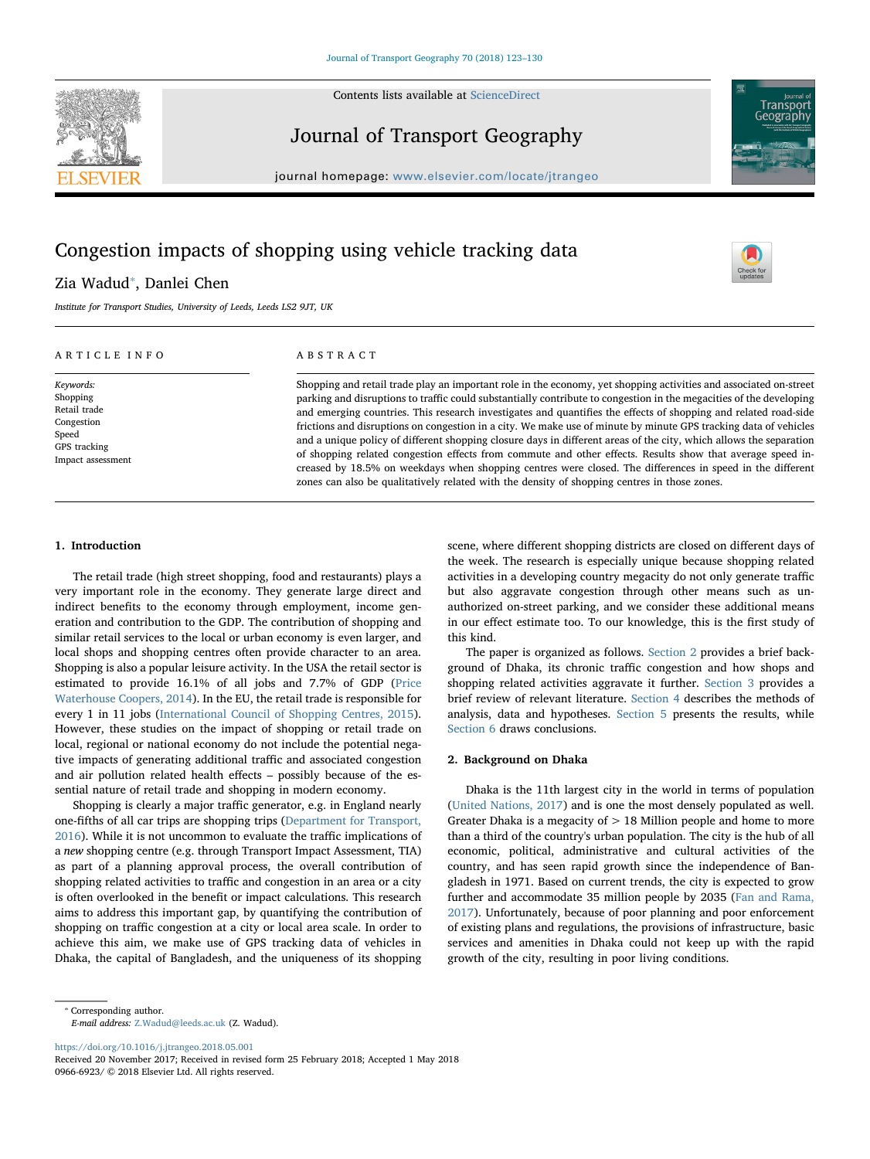Contents lists available at [ScienceDirect](http://www.sciencedirect.com/science/journal/09666923)





[T](http://crossmark.crossref.org/dialog/?doi=10.1016/j.jtrangeo.2018.05.001&domain=pdf)

# Journal of Transport Geography

journal homepage: [www.elsevier.com/locate/jtrangeo](https://www.elsevier.com/locate/jtrangeo)

# Congestion impacts of shopping using vehicle tracking data

# Zia Wadud<sup>\*</sup>, Danlei Chen

Institute for Transport Studies, University of Leeds, Leeds LS2 9JT, UK

## ARTICLE INFO

Keywords: Shopping Retail trade Congestion Speed GPS tracking Impact assessment

## ABSTRACT

Shopping and retail trade play an important role in the economy, yet shopping activities and associated on-street parking and disruptions to traffic could substantially contribute to congestion in the megacities of the developing and emerging countries. This research investigates and quantifies the effects of shopping and related road-side frictions and disruptions on congestion in a city. We make use of minute by minute GPS tracking data of vehicles and a unique policy of different shopping closure days in different areas of the city, which allows the separation of shopping related congestion effects from commute and other effects. Results show that average speed increased by 18.5% on weekdays when shopping centres were closed. The differences in speed in the different zones can also be qualitatively related with the density of shopping centres in those zones.

## 1. Introduction

The retail trade (high street shopping, food and restaurants) plays a very important role in the economy. They generate large direct and indirect benefits to the economy through employment, income generation and contribution to the GDP. The contribution of shopping and similar retail services to the local or urban economy is even larger, and local shops and shopping centres often provide character to an area. Shopping is also a popular leisure activity. In the USA the retail sector is estimated to provide 16.1% of all jobs and 7.7% of GDP ([Price](#page--1-0) [Waterhouse Coopers, 2014\)](#page--1-0). In the EU, the retail trade is responsible for every 1 in 11 jobs [\(International Council of Shopping Centres, 2015](#page--1-1)). However, these studies on the impact of shopping or retail trade on local, regional or national economy do not include the potential negative impacts of generating additional traffic and associated congestion and air pollution related health effects – possibly because of the essential nature of retail trade and shopping in modern economy.

Shopping is clearly a major traffic generator, e.g. in England nearly one-fifths of all car trips are shopping trips [\(Department for Transport,](#page--1-2) [2016\)](#page--1-2). While it is not uncommon to evaluate the traffic implications of a new shopping centre (e.g. through Transport Impact Assessment, TIA) as part of a planning approval process, the overall contribution of shopping related activities to traffic and congestion in an area or a city is often overlooked in the benefit or impact calculations. This research aims to address this important gap, by quantifying the contribution of shopping on traffic congestion at a city or local area scale. In order to achieve this aim, we make use of GPS tracking data of vehicles in Dhaka, the capital of Bangladesh, and the uniqueness of its shopping

scene, where different shopping districts are closed on different days of the week. The research is especially unique because shopping related activities in a developing country megacity do not only generate traffic but also aggravate congestion through other means such as unauthorized on-street parking, and we consider these additional means in our effect estimate too. To our knowledge, this is the first study of this kind.

The paper is organized as follows. [Section 2](#page-0-1) provides a brief background of Dhaka, its chronic traffic congestion and how shops and shopping related activities aggravate it further. [Section 3](#page-1-0) provides a brief review of relevant literature. [Section 4](#page--1-3) describes the methods of analysis, data and hypotheses. [Section 5](#page--1-4) presents the results, while [Section 6](#page--1-5) draws conclusions.

#### <span id="page-0-1"></span>2. Background on Dhaka

Dhaka is the 11th largest city in the world in terms of population ([United Nations, 2017\)](#page--1-6) and is one the most densely populated as well. Greater Dhaka is a megacity of > 18 Million people and home to more than a third of the country's urban population. The city is the hub of all economic, political, administrative and cultural activities of the country, and has seen rapid growth since the independence of Bangladesh in 1971. Based on current trends, the city is expected to grow further and accommodate 35 million people by 2035 ([Fan and Rama,](#page--1-7) [2017\)](#page--1-7). Unfortunately, because of poor planning and poor enforcement of existing plans and regulations, the provisions of infrastructure, basic services and amenities in Dhaka could not keep up with the rapid growth of the city, resulting in poor living conditions.

E-mail address: [Z.Wadud@leeds.ac.uk](mailto:Z.Wadud@leeds.ac.uk) (Z. Wadud).

<https://doi.org/10.1016/j.jtrangeo.2018.05.001>

<span id="page-0-0"></span><sup>⁎</sup> Corresponding author.

Received 20 November 2017; Received in revised form 25 February 2018; Accepted 1 May 2018 0966-6923/ © 2018 Elsevier Ltd. All rights reserved.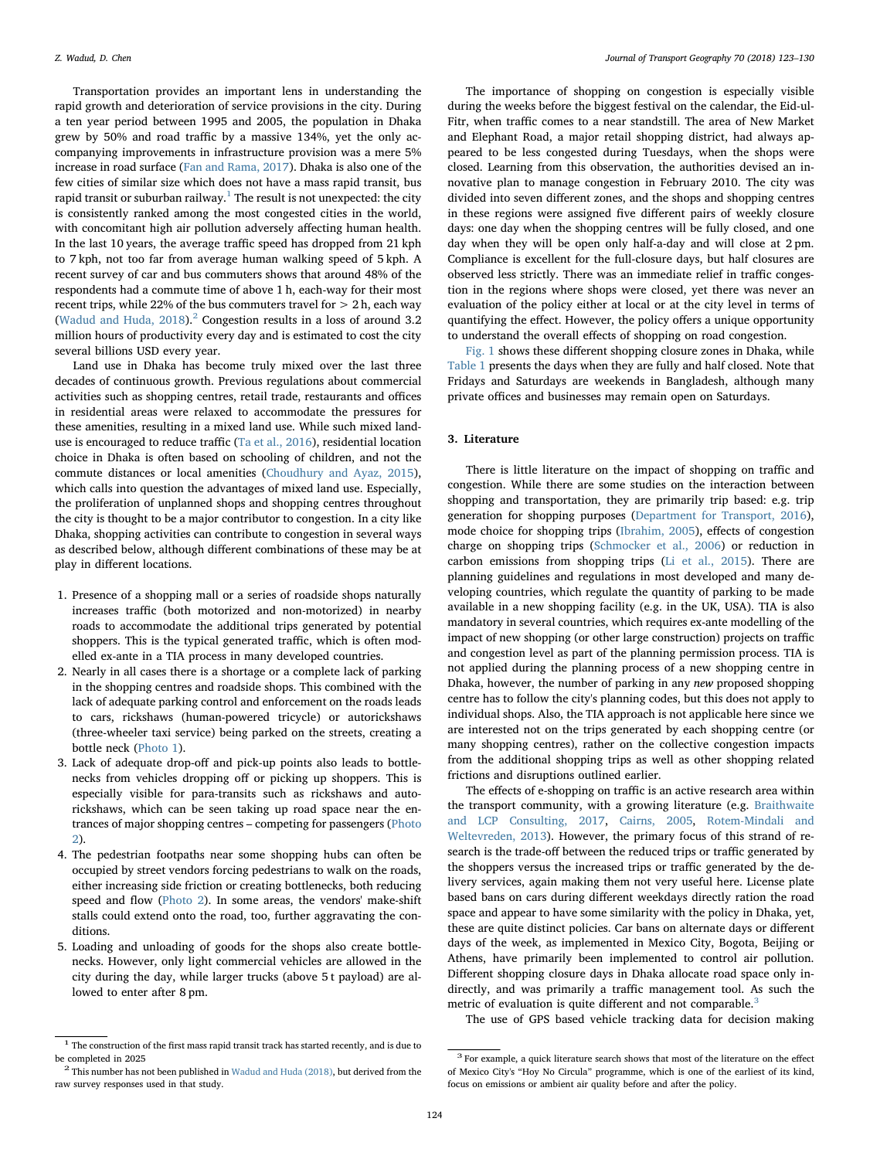Transportation provides an important lens in understanding the rapid growth and deterioration of service provisions in the city. During a ten year period between 1995 and 2005, the population in Dhaka grew by 50% and road traffic by a massive 134%, yet the only accompanying improvements in infrastructure provision was a mere 5% increase in road surface ([Fan and Rama, 2017](#page--1-7)). Dhaka is also one of the few cities of similar size which does not have a mass rapid transit, bus rapid transit or suburban railway.<sup>[1](#page-1-1)</sup> The result is not unexpected: the city is consistently ranked among the most congested cities in the world, with concomitant high air pollution adversely affecting human health. In the last 10 years, the average traffic speed has dropped from 21 kph to 7 kph, not too far from average human walking speed of 5 kph. A recent survey of car and bus commuters shows that around 48% of the respondents had a commute time of above 1 h, each-way for their most recent trips, while 22% of the bus commuters travel for  $> 2$  h, each way (Wadud and Huda,  $2018$  $2018$ ).<sup>2</sup> Congestion results in a loss of around 3.2 million hours of productivity every day and is estimated to cost the city several billions USD every year.

Land use in Dhaka has become truly mixed over the last three decades of continuous growth. Previous regulations about commercial activities such as shopping centres, retail trade, restaurants and offices in residential areas were relaxed to accommodate the pressures for these amenities, resulting in a mixed land use. While such mixed landuse is encouraged to reduce traffic [\(Ta et al., 2016\)](#page--1-9), residential location choice in Dhaka is often based on schooling of children, and not the commute distances or local amenities [\(Choudhury and Ayaz, 2015](#page--1-10)), which calls into question the advantages of mixed land use. Especially, the proliferation of unplanned shops and shopping centres throughout the city is thought to be a major contributor to congestion. In a city like Dhaka, shopping activities can contribute to congestion in several ways as described below, although different combinations of these may be at play in different locations.

- 1. Presence of a shopping mall or a series of roadside shops naturally increases traffic (both motorized and non-motorized) in nearby roads to accommodate the additional trips generated by potential shoppers. This is the typical generated traffic, which is often modelled ex-ante in a TIA process in many developed countries.
- 2. Nearly in all cases there is a shortage or a complete lack of parking in the shopping centres and roadside shops. This combined with the lack of adequate parking control and enforcement on the roads leads to cars, rickshaws (human-powered tricycle) or autorickshaws (three-wheeler taxi service) being parked on the streets, creating a bottle neck ([Photo 1](#page--1-11)).
- 3. Lack of adequate drop-off and pick-up points also leads to bottlenecks from vehicles dropping off or picking up shoppers. This is especially visible for para-transits such as rickshaws and autorickshaws, which can be seen taking up road space near the entrances of major shopping centres – competing for passengers [\(Photo](#page--1-12) [2\)](#page--1-12).
- 4. The pedestrian footpaths near some shopping hubs can often be occupied by street vendors forcing pedestrians to walk on the roads, either increasing side friction or creating bottlenecks, both reducing speed and flow [\(Photo 2\)](#page--1-12). In some areas, the vendors' make-shift stalls could extend onto the road, too, further aggravating the conditions.
- 5. Loading and unloading of goods for the shops also create bottlenecks. However, only light commercial vehicles are allowed in the city during the day, while larger trucks (above 5 t payload) are allowed to enter after 8 pm.

The importance of shopping on congestion is especially visible during the weeks before the biggest festival on the calendar, the Eid-ul-Fitr, when traffic comes to a near standstill. The area of New Market and Elephant Road, a major retail shopping district, had always appeared to be less congested during Tuesdays, when the shops were closed. Learning from this observation, the authorities devised an innovative plan to manage congestion in February 2010. The city was divided into seven different zones, and the shops and shopping centres in these regions were assigned five different pairs of weekly closure days: one day when the shopping centres will be fully closed, and one day when they will be open only half-a-day and will close at 2 pm. Compliance is excellent for the full-closure days, but half closures are observed less strictly. There was an immediate relief in traffic congestion in the regions where shops were closed, yet there was never an evaluation of the policy either at local or at the city level in terms of quantifying the effect. However, the policy offers a unique opportunity to understand the overall effects of shopping on road congestion.

[Fig. 1](#page--1-13) shows these different shopping closure zones in Dhaka, while [Table 1](#page--1-14) presents the days when they are fully and half closed. Note that Fridays and Saturdays are weekends in Bangladesh, although many private offices and businesses may remain open on Saturdays.

### <span id="page-1-0"></span>3. Literature

There is little literature on the impact of shopping on traffic and congestion. While there are some studies on the interaction between shopping and transportation, they are primarily trip based: e.g. trip generation for shopping purposes [\(Department for Transport, 2016](#page--1-2)), mode choice for shopping trips ([Ibrahim, 2005](#page--1-15)), effects of congestion charge on shopping trips ([Schmocker et al., 2006\)](#page--1-16) or reduction in carbon emissions from shopping trips ([Li et al., 2015\)](#page--1-17). There are planning guidelines and regulations in most developed and many developing countries, which regulate the quantity of parking to be made available in a new shopping facility (e.g. in the UK, USA). TIA is also mandatory in several countries, which requires ex-ante modelling of the impact of new shopping (or other large construction) projects on traffic and congestion level as part of the planning permission process. TIA is not applied during the planning process of a new shopping centre in Dhaka, however, the number of parking in any new proposed shopping centre has to follow the city's planning codes, but this does not apply to individual shops. Also, the TIA approach is not applicable here since we are interested not on the trips generated by each shopping centre (or many shopping centres), rather on the collective congestion impacts from the additional shopping trips as well as other shopping related frictions and disruptions outlined earlier.

The effects of e-shopping on traffic is an active research area within the transport community, with a growing literature (e.g. [Braithwaite](#page--1-18) [and LCP Consulting, 2017](#page--1-18), [Cairns, 2005](#page--1-19), [Rotem-Mindali and](#page--1-20) [Weltevreden, 2013](#page--1-20)). However, the primary focus of this strand of research is the trade-off between the reduced trips or traffic generated by the shoppers versus the increased trips or traffic generated by the delivery services, again making them not very useful here. License plate based bans on cars during different weekdays directly ration the road space and appear to have some similarity with the policy in Dhaka, yet, these are quite distinct policies. Car bans on alternate days or different days of the week, as implemented in Mexico City, Bogota, Beijing or Athens, have primarily been implemented to control air pollution. Different shopping closure days in Dhaka allocate road space only indirectly, and was primarily a traffic management tool. As such the metric of evaluation is quite different and not comparable.<sup>[3](#page-1-3)</sup>

The use of GPS based vehicle tracking data for decision making

<span id="page-1-1"></span> $^{\rm 1}$  The construction of the first mass rapid transit track has started recently, and is due to be completed in 2025 2 This number has not been published in [Wadud and Huda \(2018\),](#page--1-8) but derived from the

<span id="page-1-2"></span>raw survey responses used in that study.

<span id="page-1-3"></span><sup>&</sup>lt;sup>3</sup> For example, a quick literature search shows that most of the literature on the effect of Mexico City's "Hoy No Circula" programme, which is one of the earliest of its kind, focus on emissions or ambient air quality before and after the policy.